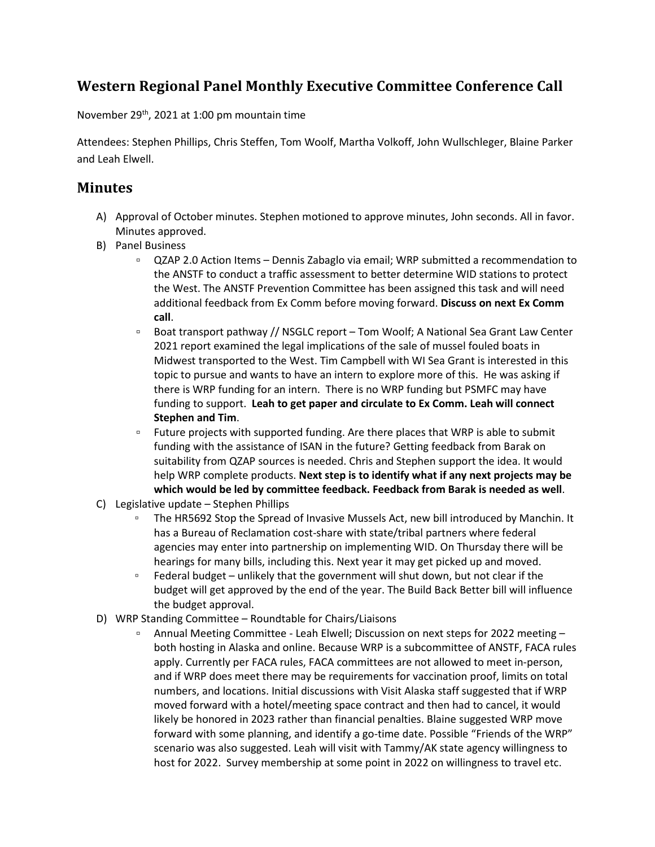## **Western Regional Panel Monthly Executive Committee Conference Call**

November 29th, 2021 at 1:00 pm mountain time

Attendees: Stephen Phillips, Chris Steffen, Tom Woolf, Martha Volkoff, John Wullschleger, Blaine Parker and Leah Elwell.

## **Minutes**

- A) Approval of October minutes. Stephen motioned to approve minutes, John seconds. All in favor. Minutes approved.
- B) Panel Business
	- QZAP 2.0 Action Items Dennis Zabaglo via email; WRP submitted a recommendation to the ANSTF to conduct a traffic assessment to better determine WID stations to protect the West. The ANSTF Prevention Committee has been assigned this task and will need additional feedback from Ex Comm before moving forward. **Discuss on next Ex Comm call**.
	- Boat transport pathway // NSGLC report Tom Woolf; A National Sea Grant Law Center 2021 report examined the legal implications of the sale of mussel fouled boats in Midwest transported to the West. Tim Campbell with WI Sea Grant is interested in this topic to pursue and wants to have an intern to explore more of this. He was asking if there is WRP funding for an intern. There is no WRP funding but PSMFC may have funding to support. **Leah to get paper and circulate to Ex Comm. Leah will connect Stephen and Tim**.
	- Future projects with supported funding. Are there places that WRP is able to submit funding with the assistance of ISAN in the future? Getting feedback from Barak on suitability from QZAP sources is needed. Chris and Stephen support the idea. It would help WRP complete products. **Next step is to identify what if any next projects may be which would be led by committee feedback. Feedback from Barak is needed as well**.
- C) Legislative update Stephen Phillips
	- The HR5692 Stop the Spread of Invasive Mussels Act, new bill introduced by Manchin. It has a Bureau of Reclamation cost-share with state/tribal partners where federal agencies may enter into partnership on implementing WID. On Thursday there will be hearings for many bills, including this. Next year it may get picked up and moved.
	- □ Federal budget unlikely that the government will shut down, but not clear if the budget will get approved by the end of the year. The Build Back Better bill will influence the budget approval.
- D) WRP Standing Committee Roundtable for Chairs/Liaisons
	- Annual Meeting Committee Leah Elwell; Discussion on next steps for 2022 meeting both hosting in Alaska and online. Because WRP is a subcommittee of ANSTF, FACA rules apply. Currently per FACA rules, FACA committees are not allowed to meet in-person, and if WRP does meet there may be requirements for vaccination proof, limits on total numbers, and locations. Initial discussions with Visit Alaska staff suggested that if WRP moved forward with a hotel/meeting space contract and then had to cancel, it would likely be honored in 2023 rather than financial penalties. Blaine suggested WRP move forward with some planning, and identify a go-time date. Possible "Friends of the WRP" scenario was also suggested. Leah will visit with Tammy/AK state agency willingness to host for 2022. Survey membership at some point in 2022 on willingness to travel etc.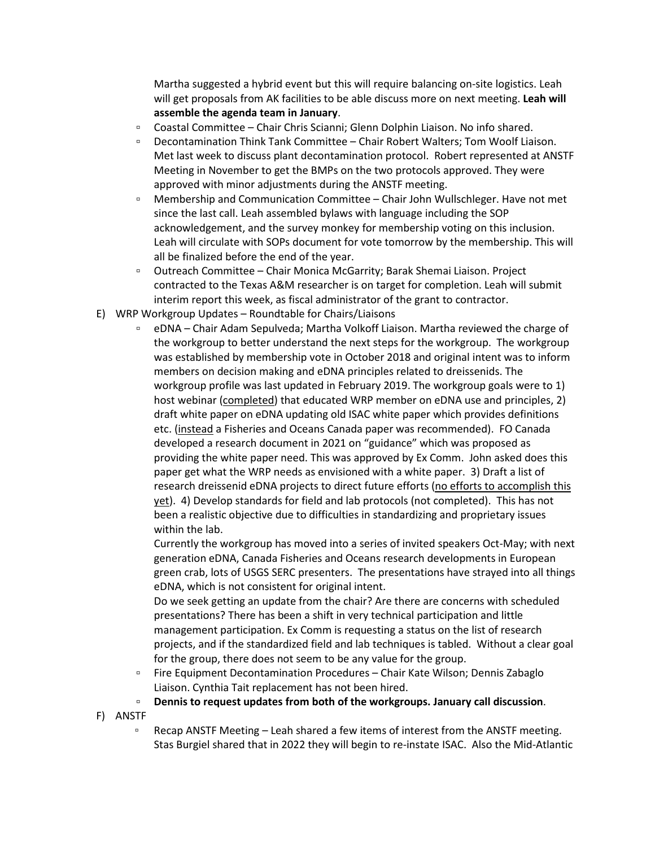Martha suggested a hybrid event but this will require balancing on-site logistics. Leah will get proposals from AK facilities to be able discuss more on next meeting. **Leah will assemble the agenda team in January**.

- Coastal Committee Chair Chris Scianni; Glenn Dolphin Liaison. No info shared.
- Decontamination Think Tank Committee Chair Robert Walters; Tom Woolf Liaison. Met last week to discuss plant decontamination protocol. Robert represented at ANSTF Meeting in November to get the BMPs on the two protocols approved. They were approved with minor adjustments during the ANSTF meeting.
- Membership and Communication Committee Chair John Wullschleger. Have not met since the last call. Leah assembled bylaws with language including the SOP acknowledgement, and the survey monkey for membership voting on this inclusion. Leah will circulate with SOPs document for vote tomorrow by the membership. This will all be finalized before the end of the year.
- Outreach Committee Chair Monica McGarrity; Barak Shemai Liaison. Project contracted to the Texas A&M researcher is on target for completion. Leah will submit interim report this week, as fiscal administrator of the grant to contractor.
- E) WRP Workgroup Updates Roundtable for Chairs/Liaisons
	- eDNA Chair Adam Sepulveda; Martha Volkoff Liaison. Martha reviewed the charge of the workgroup to better understand the next steps for the workgroup. The workgroup was established by membership vote in October 2018 and original intent was to inform members on decision making and eDNA principles related to dreissenids. The workgroup profile was last updated in February 2019. The workgroup goals were to 1) host webinar (completed) that educated WRP member on eDNA use and principles, 2) draft white paper on eDNA updating old ISAC white paper which provides definitions etc. (instead a Fisheries and Oceans Canada paper was recommended). FO Canada developed a research document in 2021 on "guidance" which was proposed as providing the white paper need. This was approved by Ex Comm. John asked does this paper get what the WRP needs as envisioned with a white paper. 3) Draft a list of research dreissenid eDNA projects to direct future efforts (no efforts to accomplish this yet). 4) Develop standards for field and lab protocols (not completed). This has not been a realistic objective due to difficulties in standardizing and proprietary issues within the lab.

Currently the workgroup has moved into a series of invited speakers Oct-May; with next generation eDNA, Canada Fisheries and Oceans research developments in European green crab, lots of USGS SERC presenters. The presentations have strayed into all things eDNA, which is not consistent for original intent.

Do we seek getting an update from the chair? Are there are concerns with scheduled presentations? There has been a shift in very technical participation and little management participation. Ex Comm is requesting a status on the list of research projects, and if the standardized field and lab techniques is tabled. Without a clear goal for the group, there does not seem to be any value for the group.

- Fire Equipment Decontamination Procedures Chair Kate Wilson; Dennis Zabaglo Liaison. Cynthia Tait replacement has not been hired.
- **Dennis to request updates from both of the workgroups. January call discussion**.

F) ANSTF

▫ Recap ANSTF Meeting – Leah shared a few items of interest from the ANSTF meeting. Stas Burgiel shared that in 2022 they will begin to re-instate ISAC. Also the Mid-Atlantic